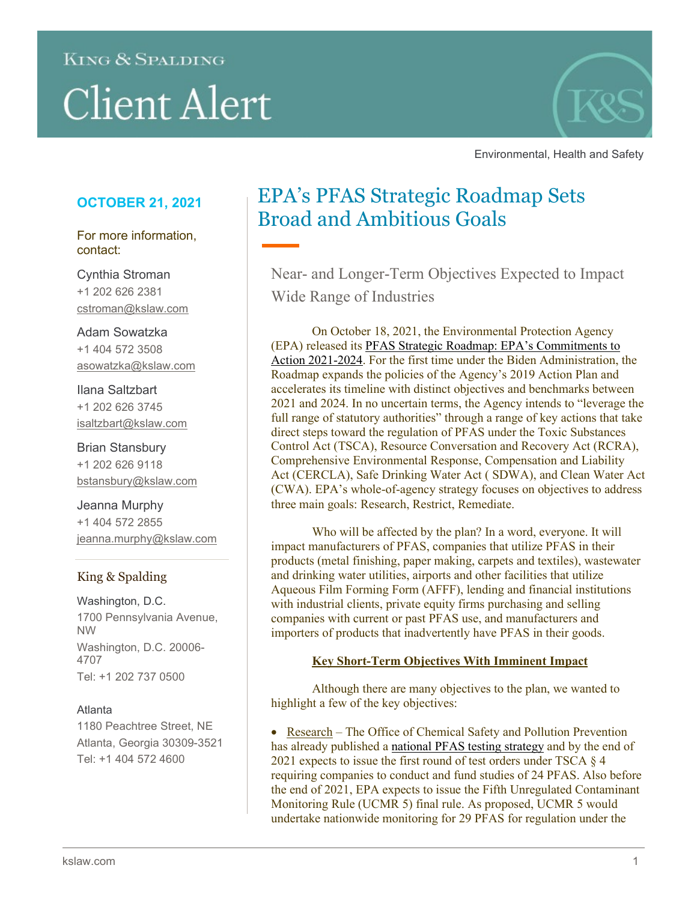# **KING & SPALDING**

# **Client Alert**



Environmental, Health and Safety

# **OCTOBER 21, 2021**

For more information, contact:

Cynthia Stroman +1 202 626 2381 cstroman@kslaw.com

Adam Sowatzka +1 404 572 3508 asowatzka@kslaw.com

Ilana Saltzbart +1 202 626 3745 isaltzbart@kslaw.com

Brian Stansbury +1 202 626 9118 bstansbury@kslaw.com

Jeanna Murphy +1 404 572 2855 jeanna.murphy@kslaw.com

# King & Spalding

Washington, D.C. 1700 Pennsylvania Avenue, NW Washington, D.C. 20006- 4707 Tel: +1 202 737 0500

# Atlanta

1180 Peachtree Street, NE Atlanta, Georgia 30309-3521 Tel: +1 404 572 4600

# EPA's PFAS Strategic Roadmap Sets Broad and Ambitious Goals

Near- and Longer-Term Objectives Expected to Impact Wide Range of Industries

On October 18, 2021, the Environmental Protection Agency (EPA) released its [PFAS Strategic Roadmap: EPA's Commitments to](https://www.epa.gov/system/files/documents/2021-10/pfas-roadmap_final-508.pdf)  [Action 2021-2024.](https://www.epa.gov/system/files/documents/2021-10/pfas-roadmap_final-508.pdf) For the first time under the Biden Administration, the Roadmap expands the policies of the Agency's 2019 Action Plan and accelerates its timeline with distinct objectives and benchmarks between 2021 and 2024. In no uncertain terms, the Agency intends to "leverage the full range of statutory authorities" through a range of key actions that take direct steps toward the regulation of PFAS under the Toxic Substances Control Act (TSCA), Resource Conversation and Recovery Act (RCRA), Comprehensive Environmental Response, Compensation and Liability Act (CERCLA), Safe Drinking Water Act ( SDWA), and Clean Water Act (CWA). EPA's whole-of-agency strategy focuses on objectives to address three main goals: Research, Restrict, Remediate.

Who will be affected by the plan? In a word, everyone. It will impact manufacturers of PFAS, companies that utilize PFAS in their products (metal finishing, paper making, carpets and textiles), wastewater and drinking water utilities, airports and other facilities that utilize Aqueous Film Forming Form (AFFF), lending and financial institutions with industrial clients, private equity firms purchasing and selling companies with current or past PFAS use, and manufacturers and importers of products that inadvertently have PFAS in their goods.

# **Key Short-Term Objectives With Imminent Impact**

Although there are many objectives to the plan, we wanted to highlight a few of the key objectives:

• Research – The Office of Chemical Safety and Pollution Prevention has already published a [national PFAS testing strategy](https://www.epa.gov/system/files/documents/2021-10/pfas-natl-test-strategy.pdf) and by the end of 2021 expects to issue the first round of test orders under TSCA § 4 requiring companies to conduct and fund studies of 24 PFAS. Also before the end of 2021, EPA expects to issue the Fifth Unregulated Contaminant Monitoring Rule (UCMR 5) final rule. As proposed, UCMR 5 would undertake nationwide monitoring for 29 PFAS for regulation under the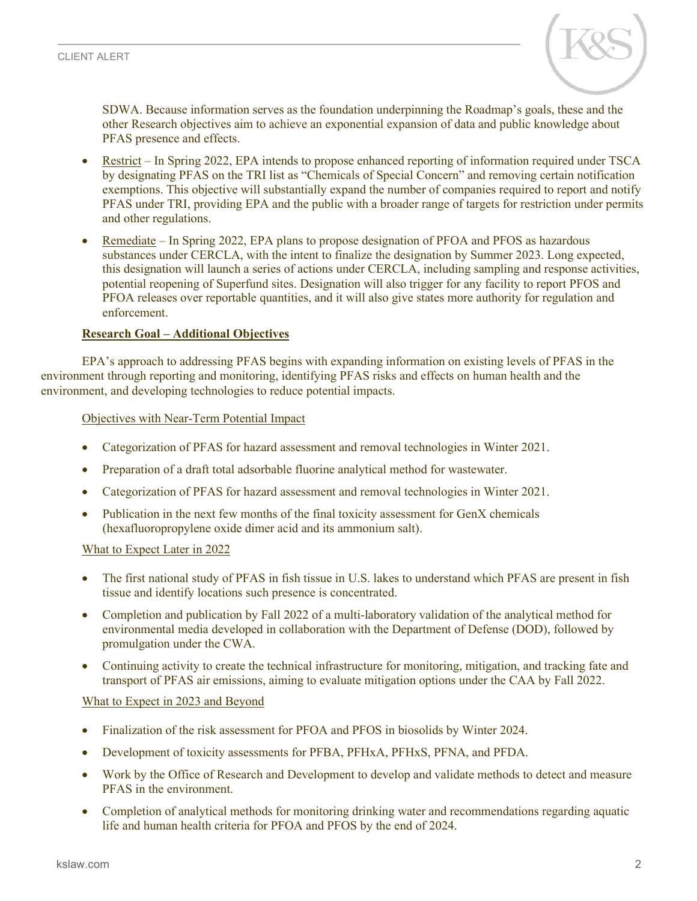

SDWA. Because information serves as the foundation underpinning the Roadmap's goals, these and the other Research objectives aim to achieve an exponential expansion of data and public knowledge about PFAS presence and effects.

- Restrict In Spring 2022, EPA intends to propose enhanced reporting of information required under TSCA by designating PFAS on the TRI list as "Chemicals of Special Concern" and removing certain notification exemptions. This objective will substantially expand the number of companies required to report and notify PFAS under TRI, providing EPA and the public with a broader range of targets for restriction under permits and other regulations.
- Remediate In Spring 2022, EPA plans to propose designation of PFOA and PFOS as hazardous substances under CERCLA, with the intent to finalize the designation by Summer 2023. Long expected, this designation will launch a series of actions under CERCLA, including sampling and response activities, potential reopening of Superfund sites. Designation will also trigger for any facility to report PFOS and PFOA releases over reportable quantities, and it will also give states more authority for regulation and enforcement.

#### **Research Goal – Additional Objectives**

EPA's approach to addressing PFAS begins with expanding information on existing levels of PFAS in the environment through reporting and monitoring, identifying PFAS risks and effects on human health and the environment, and developing technologies to reduce potential impacts.

#### Objectives with Near-Term Potential Impact

- Categorization of PFAS for hazard assessment and removal technologies in Winter 2021.
- Preparation of a draft total adsorbable fluorine analytical method for wastewater.
- Categorization of PFAS for hazard assessment and removal technologies in Winter 2021.
- Publication in the next few months of the final toxicity assessment for GenX chemicals (hexafluoropropylene oxide dimer acid and its ammonium salt).

#### What to Expect Later in 2022

- The first national study of PFAS in fish tissue in U.S. lakes to understand which PFAS are present in fish tissue and identify locations such presence is concentrated.
- Completion and publication by Fall 2022 of a multi-laboratory validation of the analytical method for environmental media developed in collaboration with the Department of Defense (DOD), followed by promulgation under the CWA.
- Continuing activity to create the technical infrastructure for monitoring, mitigation, and tracking fate and transport of PFAS air emissions, aiming to evaluate mitigation options under the CAA by Fall 2022.

#### What to Expect in 2023 and Beyond

- Finalization of the risk assessment for PFOA and PFOS in biosolids by Winter 2024.
- Development of toxicity assessments for PFBA, PFHxA, PFHxS, PFNA, and PFDA.
- Work by the Office of Research and Development to develop and validate methods to detect and measure PFAS in the environment.
- Completion of analytical methods for monitoring drinking water and recommendations regarding aquatic life and human health criteria for PFOA and PFOS by the end of 2024.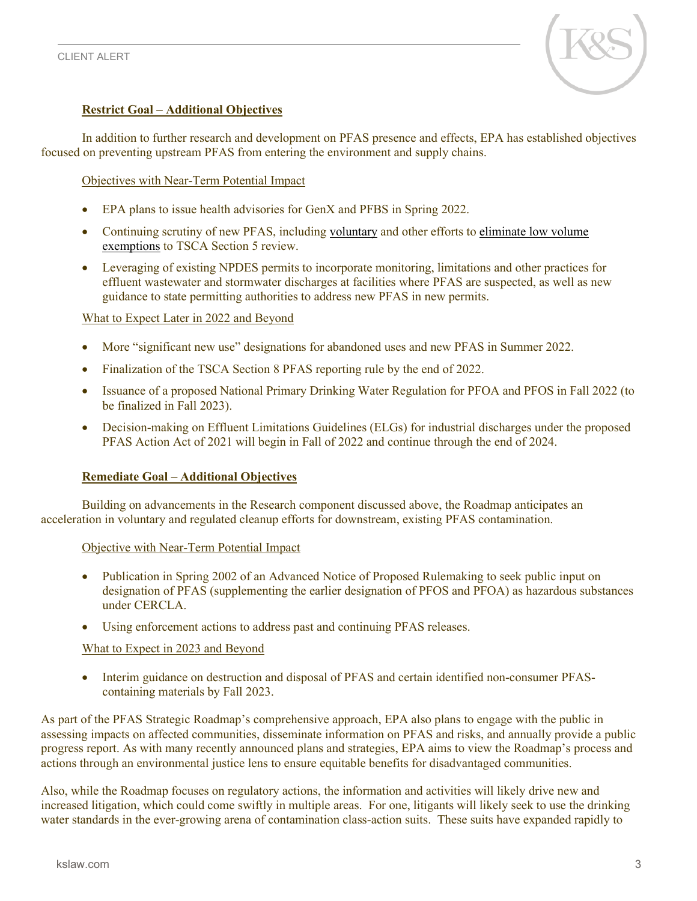

# **Restrict Goal – Additional Objectives**

In addition to further research and development on PFAS presence and effects, EPA has established objectives focused on preventing upstream PFAS from entering the environment and supply chains.

## Objectives with Near-Term Potential Impact

- EPA plans to issue health advisories for GenX and PFBS in Spring 2022.
- Continuing scrutiny of new PFAS, including [voluntary](https://www.epa.gov/reviewing-new-chemicals-under-toxic-substances-control-act-tsca/pfas-low-volume-exemption) and other efforts to [eliminate low volume](https://www.epa.gov/chemicals-under-tsca/epa-announces-changes-prevent-unsafe-new-pfas-entering-market)  [exemptions](https://www.epa.gov/chemicals-under-tsca/epa-announces-changes-prevent-unsafe-new-pfas-entering-market) to TSCA Section 5 review.
- Leveraging of existing NPDES permits to incorporate monitoring, limitations and other practices for effluent wastewater and stormwater discharges at facilities where PFAS are suspected, as well as new guidance to state permitting authorities to address new PFAS in new permits.

### What to Expect Later in 2022 and Beyond

- More "significant new use" designations for abandoned uses and new PFAS in Summer 2022.
- Finalization of the TSCA Section 8 PFAS reporting rule by the end of 2022.
- Issuance of a proposed National Primary Drinking Water Regulation for PFOA and PFOS in Fall 2022 (to be finalized in Fall 2023).
- Decision-making on Effluent Limitations Guidelines (ELGs) for industrial discharges under the proposed PFAS Action Act of 2021 will begin in Fall of 2022 and continue through the end of 2024.

#### **Remediate Goal – Additional Objectives**

Building on advancements in the Research component discussed above, the Roadmap anticipates an acceleration in voluntary and regulated cleanup efforts for downstream, existing PFAS contamination.

#### Objective with Near-Term Potential Impact

- Publication in Spring 2002 of an Advanced Notice of Proposed Rulemaking to seek public input on designation of PFAS (supplementing the earlier designation of PFOS and PFOA) as hazardous substances under CERCLA.
- Using enforcement actions to address past and continuing PFAS releases.

#### What to Expect in 2023 and Beyond

• Interim guidance on destruction and disposal of PFAS and certain identified non-consumer PFAScontaining materials by Fall 2023.

As part of the PFAS Strategic Roadmap's comprehensive approach, EPA also plans to engage with the public in assessing impacts on affected communities, disseminate information on PFAS and risks, and annually provide a public progress report. As with many recently announced plans and strategies, EPA aims to view the Roadmap's process and actions through an environmental justice lens to ensure equitable benefits for disadvantaged communities.

Also, while the Roadmap focuses on regulatory actions, the information and activities will likely drive new and increased litigation, which could come swiftly in multiple areas. For one, litigants will likely seek to use the drinking water standards in the ever-growing arena of contamination class-action suits. These suits have expanded rapidly to